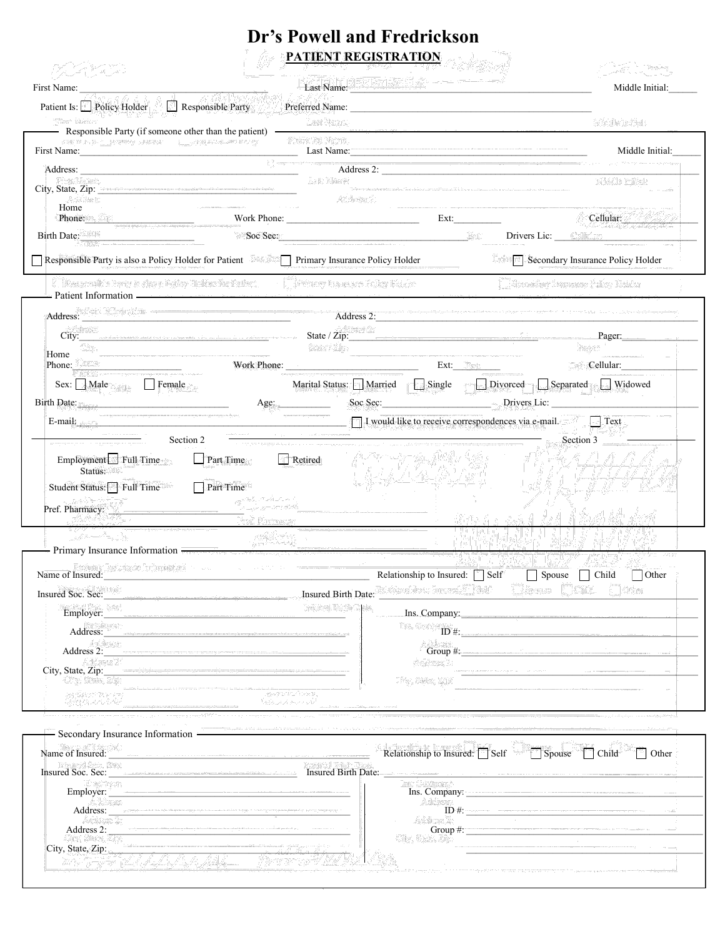## **Dr's Powell and Fredrickson PATIENT REGISTRATION**

|                                                                                                                                                                                                                                |                                                                                                                  |                                                                               |                                                           |      |                                   | Middle Initial: |
|--------------------------------------------------------------------------------------------------------------------------------------------------------------------------------------------------------------------------------|------------------------------------------------------------------------------------------------------------------|-------------------------------------------------------------------------------|-----------------------------------------------------------|------|-----------------------------------|-----------------|
| Patient Is: Policy Holder                                                                                                                                                                                                      | Responsible Party                                                                                                |                                                                               |                                                           |      |                                   |                 |
|                                                                                                                                                                                                                                | Responsible Party (if someone other than the patient) <b>CONFINENTIAL CONFIDENT</b>                              |                                                                               |                                                           |      |                                   |                 |
| First Name: Name: Name: Name: Name: Name: Name: Name: Name: Name: Name: Name: Name: Name: Name: Name: Name: Name: Name: Name: Name: Name: Name: Name: Name: Name: Name: Name: Name: Name: Name: Name: Name: Name: Name: Name:  |                                                                                                                  |                                                                               |                                                           |      |                                   | Middle Initial: |
|                                                                                                                                                                                                                                |                                                                                                                  |                                                                               | Address 2:                                                |      |                                   |                 |
| City, State, Zip:                                                                                                                                                                                                              |                                                                                                                  |                                                                               |                                                           |      |                                   |                 |
| Home                                                                                                                                                                                                                           |                                                                                                                  |                                                                               |                                                           |      |                                   |                 |
| Phone: $\frac{1}{2}$                                                                                                                                                                                                           |                                                                                                                  |                                                                               |                                                           | Ext: |                                   | Cellular:       |
| Birth Date:                                                                                                                                                                                                                    |                                                                                                                  | Soc Sec:                                                                      |                                                           |      |                                   |                 |
| Responsible Party is also a Policy Holder for Patient                                                                                                                                                                          |                                                                                                                  | <b>Primary Insurance Policy Holder</b>                                        |                                                           |      | Secondary Insurance Policy Holder |                 |
|                                                                                                                                                                                                                                |                                                                                                                  |                                                                               |                                                           |      |                                   |                 |
|                                                                                                                                                                                                                                |                                                                                                                  |                                                                               |                                                           |      |                                   |                 |
|                                                                                                                                                                                                                                | City:                                                                                                            |                                                                               |                                                           |      |                                   | Pager:          |
| Home                                                                                                                                                                                                                           |                                                                                                                  |                                                                               |                                                           |      |                                   |                 |
| Phone:                                                                                                                                                                                                                         |                                                                                                                  |                                                                               |                                                           | Ext: |                                   | Cellular:       |
| Sex: Male Female                                                                                                                                                                                                               |                                                                                                                  |                                                                               | Marital Status: Married Single Divorced Separated Widowed |      |                                   |                 |
|                                                                                                                                                                                                                                |                                                                                                                  | Age:                                                                          | Soc Sec: Drivers Lic:                                     |      |                                   |                 |
|                                                                                                                                                                                                                                |                                                                                                                  |                                                                               |                                                           |      |                                   | Text            |
| $Employment$ Full Time<br>Status:<br>Student Status: Full Time                                                                                                                                                                 | E-mail: $\Box$ I would like to receive correspondences via e-mail.<br>Section 2<br>$\Box$ Part Time<br>Part Time | <u> 1989 - Johann Stoff, amerikansk politiker (d. 1989)</u><br>$\Box$ Retired |                                                           |      | Section 3                         |                 |
|                                                                                                                                                                                                                                |                                                                                                                  |                                                                               |                                                           |      |                                   |                 |
| - Primary Insurance Information - The Contract of the Contract of the Contract of the Contract of the Contract of the Contract of the Contract of the Contract of the Contract of the Contract of the Contract of the Contract |                                                                                                                  |                                                                               |                                                           |      |                                   |                 |
| Name of Insured: Self Self                                                                                                                                                                                                     |                                                                                                                  |                                                                               |                                                           |      | Spouse Child                      | $\Box$ Other    |
| Insured Soc. Sec:                                                                                                                                                                                                              |                                                                                                                  |                                                                               |                                                           |      |                                   |                 |
| Employer:                                                                                                                                                                                                                      |                                                                                                                  |                                                                               |                                                           |      |                                   |                 |
|                                                                                                                                                                                                                                |                                                                                                                  |                                                                               |                                                           |      |                                   |                 |
|                                                                                                                                                                                                                                |                                                                                                                  |                                                                               |                                                           |      |                                   |                 |
|                                                                                                                                                                                                                                |                                                                                                                  |                                                                               |                                                           |      |                                   |                 |
|                                                                                                                                                                                                                                |                                                                                                                  |                                                                               |                                                           |      |                                   |                 |
|                                                                                                                                                                                                                                |                                                                                                                  |                                                                               |                                                           |      |                                   |                 |
| Secondary Insurance Information -                                                                                                                                                                                              |                                                                                                                  |                                                                               |                                                           |      |                                   |                 |
|                                                                                                                                                                                                                                |                                                                                                                  |                                                                               | Relationship to Insured: $\Box$ Self                      |      | Spouse Child                      | <b>Other</b>    |
|                                                                                                                                                                                                                                |                                                                                                                  |                                                                               |                                                           |      |                                   |                 |
|                                                                                                                                                                                                                                |                                                                                                                  |                                                                               |                                                           |      |                                   |                 |
|                                                                                                                                                                                                                                |                                                                                                                  |                                                                               |                                                           |      |                                   |                 |
|                                                                                                                                                                                                                                |                                                                                                                  |                                                                               |                                                           |      |                                   | ID#:            |